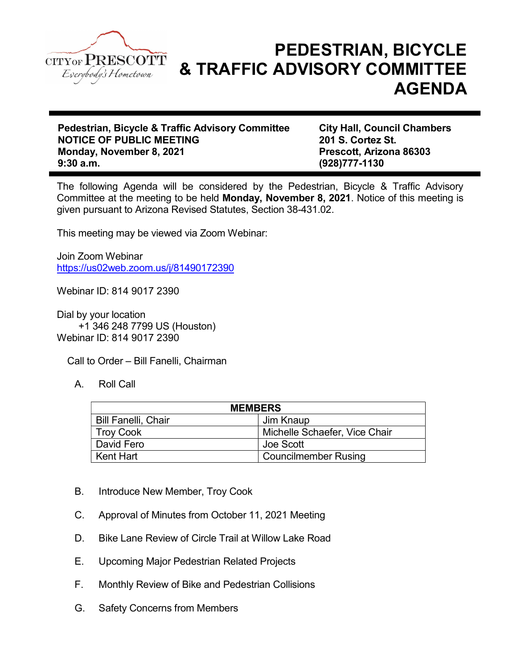

## PEDESTRIAN, BICYCLE & TRAFFIC ADVISORY COMMITTEE AGENDA

Pedestrian, Bicycle & Traffic Advisory Committee City Hall, Council Chambers NOTICE OF PUBLIC MEETING 201 S. Cortez St. Monday, November 8, 2021 Monday, November 8, 2021 9:30 a.m. (928)777-1130

The following Agenda will be considered by the Pedestrian, Bicycle & Traffic Advisory Committee at the meeting to be held Monday, November 8, 2021. Notice of this meeting is given pursuant to Arizona Revised Statutes, Section 38-431.02.

This meeting may be viewed via Zoom Webinar:

Join Zoom Webinar https://us02web.zoom.us/j/81490172390

Webinar ID: 814 9017 2390

Dial by your location +1 346 248 7799 US (Houston) Webinar ID: 814 9017 2390

Call to Order – Bill Fanelli, Chairman

A. Roll Call

| <b>MEMBERS</b>             |                               |
|----------------------------|-------------------------------|
| <b>Bill Fanelli, Chair</b> | Jim Knaup                     |
| <b>Troy Cook</b>           | Michelle Schaefer, Vice Chair |
| David Fero                 | Joe Scott                     |
| Kent Hart                  | <b>Councilmember Rusing</b>   |

- B. Introduce New Member, Troy Cook
- C. Approval of Minutes from October 11, 2021 Meeting
- D. Bike Lane Review of Circle Trail at Willow Lake Road
- E. Upcoming Major Pedestrian Related Projects
- F. Monthly Review of Bike and Pedestrian Collisions
- G. Safety Concerns from Members